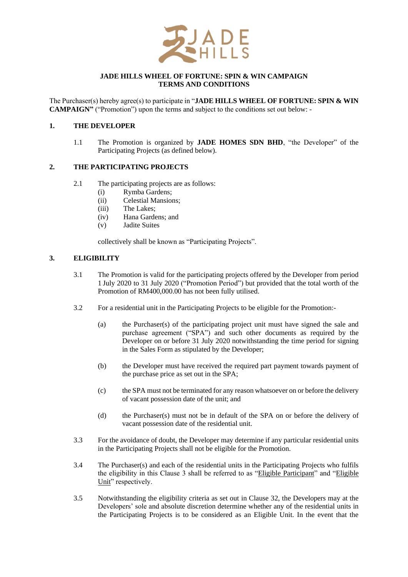

## **JADE HILLS WHEEL OF FORTUNE: SPIN & WIN CAMPAIGN TERMS AND CONDITIONS**

The Purchaser(s) hereby agree(s) to participate in "**JADE HILLS WHEEL OF FORTUNE: SPIN & WIN CAMPAIGN"** ("Promotion") upon the terms and subject to the conditions set out below: -

# **1. THE DEVELOPER**

1.1 The Promotion is organized by **JADE HOMES SDN BHD**, "the Developer" of the Participating Projects (as defined below).

# **2. THE PARTICIPATING PROJECTS**

- 2.1 The participating projects are as follows:
	- (i) Rymba Gardens;
	- (ii) Celestial Mansions;
	- (iii) The Lakes;
	- (iv) Hana Gardens; and
	- (v) Jadite Suites

collectively shall be known as "Participating Projects".

# **3. ELIGIBILITY**

- 3.1 The Promotion is valid for the participating projects offered by the Developer from period 1 July 2020 to 31 July 2020 ("Promotion Period") but provided that the total worth of the Promotion of RM400,000.00 has not been fully utilised.
- 3.2 For a residential unit in the Participating Projects to be eligible for the Promotion:-
	- (a) the Purchaser(s) of the participating project unit must have signed the sale and purchase agreement ("SPA") and such other documents as required by the Developer on or before 31 July 2020 notwithstanding the time period for signing in the Sales Form as stipulated by the Developer;
	- (b) the Developer must have received the required part payment towards payment of the purchase price as set out in the SPA;
	- (c) the SPA must not be terminated for any reason whatsoever on or before the delivery of vacant possession date of the unit; and
	- (d) the Purchaser(s) must not be in default of the SPA on or before the delivery of vacant possession date of the residential unit.
- 3.3 For the avoidance of doubt, the Developer may determine if any particular residential units in the Participating Projects shall not be eligible for the Promotion.
- 3.4 The Purchaser(s) and each of the residential units in the Participating Projects who fulfils the eligibility in this Clause 3 shall be referred to as "Eligible Participant" and "Eligible Unit" respectively.
- 3.5 Notwithstanding the eligibility criteria as set out in Clause 32, the Developers may at the Developers' sole and absolute discretion determine whether any of the residential units in the Participating Projects is to be considered as an Eligible Unit. In the event that the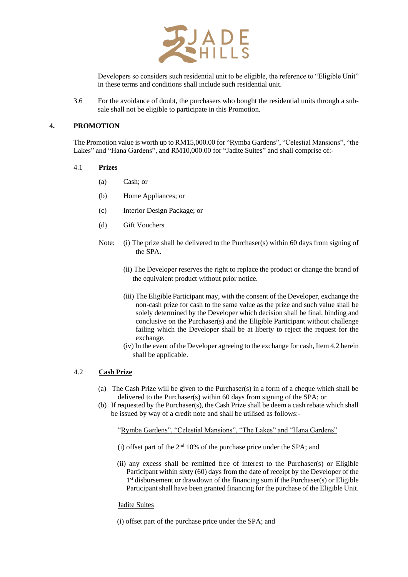

Developers so considers such residential unit to be eligible, the reference to "Eligible Unit" in these terms and conditions shall include such residential unit.

3.6 For the avoidance of doubt, the purchasers who bought the residential units through a subsale shall not be eligible to participate in this Promotion.

## **4. PROMOTION**

The Promotion value is worth up to RM15,000.00 for "Rymba Gardens", "Celestial Mansions", "the Lakes" and "Hana Gardens", and RM10,000.00 for "Jadite Suites" and shall comprise of:-

#### 4.1 **Prizes**

- (a) Cash; or
- (b) Home Appliances; or
- (c) Interior Design Package; or
- (d) Gift Vouchers
- Note: (i) The prize shall be delivered to the Purchaser(s) within 60 days from signing of the SPA.
	- (ii) The Developer reserves the right to replace the product or change the brand of the equivalent product without prior notice.
	- (iii) The Eligible Participant may, with the consent of the Developer, exchange the non-cash prize for cash to the same value as the prize and such value shall be solely determined by the Developer which decision shall be final, binding and conclusive on the Purchaser(s) and the Eligible Participant without challenge failing which the Developer shall be at liberty to reject the request for the exchange.
	- (iv) In the event of the Developer agreeing to the exchange for cash, Item 4.2 herein shall be applicable.

# 4.2 **Cash Prize**

- (a) The Cash Prize will be given to the Purchaser(s) in a form of a cheque which shall be delivered to the Purchaser(s) within 60 days from signing of the SPA; or
- (b) If requested by the Purchaser(s), the Cash Prize shall be deem a cash rebate which shall be issued by way of a credit note and shall be utilised as follows:-

"Rymba Gardens", "Celestial Mansions", "The Lakes" and "Hana Gardens"

- (i) offset part of the  $2<sup>nd</sup> 10%$  of the purchase price under the SPA; and
- (ii) any excess shall be remitted free of interest to the Purchaser(s) or Eligible Participant within sixty (60) days from the date of receipt by the Developer of the 1<sup>st</sup> disbursement or drawdown of the financing sum if the Purchaser(s) or Eligible Participant shall have been granted financing for the purchase of the Eligible Unit.

#### Jadite Suites

(i) offset part of the purchase price under the SPA; and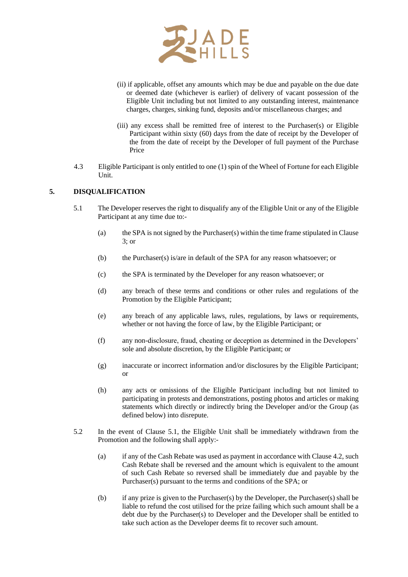

- (ii) if applicable, offset any amounts which may be due and payable on the due date or deemed date (whichever is earlier) of delivery of vacant possession of the Eligible Unit including but not limited to any outstanding interest, maintenance charges, charges, sinking fund, deposits and/or miscellaneous charges; and
- (iii) any excess shall be remitted free of interest to the Purchaser(s) or Eligible Participant within sixty (60) days from the date of receipt by the Developer of the from the date of receipt by the Developer of full payment of the Purchase Price
- 4.3 Eligible Participant is only entitled to one (1) spin of the Wheel of Fortune for each Eligible Unit.

# **5. DISQUALIFICATION**

- 5.1 The Developer reserves the right to disqualify any of the Eligible Unit or any of the Eligible Participant at any time due to:-
	- (a) the SPA is not signed by the Purchaser(s) within the time frame stipulated in Clause 3; or
	- (b) the Purchaser(s) is/are in default of the SPA for any reason whatsoever; or
	- (c) the SPA is terminated by the Developer for any reason whatsoever; or
	- (d) any breach of these terms and conditions or other rules and regulations of the Promotion by the Eligible Participant;
	- (e) any breach of any applicable laws, rules, regulations, by laws or requirements, whether or not having the force of law, by the Eligible Participant; or
	- (f) any non-disclosure, fraud, cheating or deception as determined in the Developers' sole and absolute discretion, by the Eligible Participant; or
	- (g) inaccurate or incorrect information and/or disclosures by the Eligible Participant; or
	- (h) any acts or omissions of the Eligible Participant including but not limited to participating in protests and demonstrations, posting photos and articles or making statements which directly or indirectly bring the Developer and/or the Group (as defined below) into disrepute.
- 5.2 In the event of Clause 5.1, the Eligible Unit shall be immediately withdrawn from the Promotion and the following shall apply:-
	- (a) if any of the Cash Rebate was used as payment in accordance with Clause 4.2, such Cash Rebate shall be reversed and the amount which is equivalent to the amount of such Cash Rebate so reversed shall be immediately due and payable by the Purchaser(s) pursuant to the terms and conditions of the SPA; or
	- (b) if any prize is given to the Purchaser(s) by the Developer, the Purchaser(s) shall be liable to refund the cost utilised for the prize failing which such amount shall be a debt due by the Purchaser(s) to Developer and the Developer shall be entitled to take such action as the Developer deems fit to recover such amount.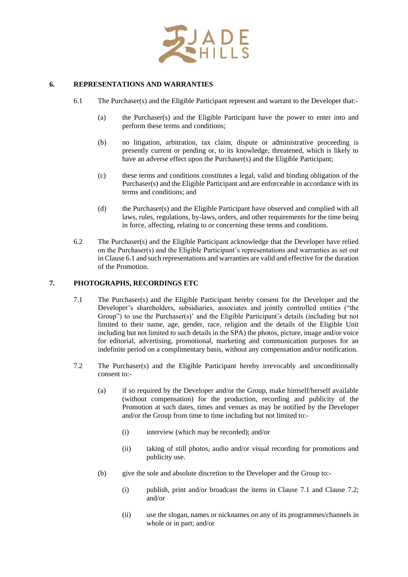

## **6. REPRESENTATIONS AND WARRANTIES**

- 6.1 The Purchaser(s) and the Eligible Participant represent and warrant to the Developer that:-
	- (a) the Purchaser(s) and the Eligible Participant have the power to enter into and perform these terms and conditions;
	- (b) no litigation, arbitration, tax claim, dispute or administrative proceeding is presently current or pending or, to its knowledge, threatened, which is likely to have an adverse effect upon the Purchaser(s) and the Eligible Participant;
	- (c) these terms and conditions constitutes a legal, valid and binding obligation of the Purchaser(s) and the Eligible Participant and are enforceable in accordance with its terms and conditions; and
	- (d) the Purchaser(s) and the Eligible Participant have observed and complied with all laws, rules, regulations, by-laws, orders, and other requirements for the time being in force, affecting, relating to or concerning these terms and conditions.
- 6.2 The Purchaser(s) and the Eligible Participant acknowledge that the Developer have relied on the Purchaser(s) and the Eligible Participant's representations and warranties as set out in Clause 6.1 and such representations and warranties are valid and effective for the duration of the Promotion.

## **7. PHOTOGRAPHS, RECORDINGS ETC**

- 7.1 The Purchaser(s) and the Eligible Participant hereby consent for the Developer and the Developer's shareholders, subsidiaries, associates and jointly controlled entities ("the Group") to use the Purchaser(s)' and the Eligible Participant's details (including but not limited to their name, age, gender, race, religion and the details of the Eligible Unit including but not limited to such details in the SPA) the photos, picture, image and/or voice for editorial, advertising, promotional, marketing and communication purposes for an indefinite period on a complimentary basis, without any compensation and/or notification.
- 7.2 The Purchaser(s) and the Eligible Participant hereby irrevocably and unconditionally consent to:-
	- (a) if so required by the Developer and/or the Group, make himself/herself available (without compensation) for the production, recording and publicity of the Promotion at such dates, times and venues as may be notified by the Developer and/or the Group from time to time including but not limited to:-
		- (i) interview (which may be recorded); and/or
		- (ii) taking of still photos, audio and/or visual recording for promotions and publicity use.
	- (b) give the sole and absolute discretion to the Developer and the Group to:-
		- (i) publish, print and/or broadcast the items in Clause 7.1 and Clause 7.2; and/or
		- (ii) use the slogan, names or nicknames on any of its programmes/channels in whole or in part; and/or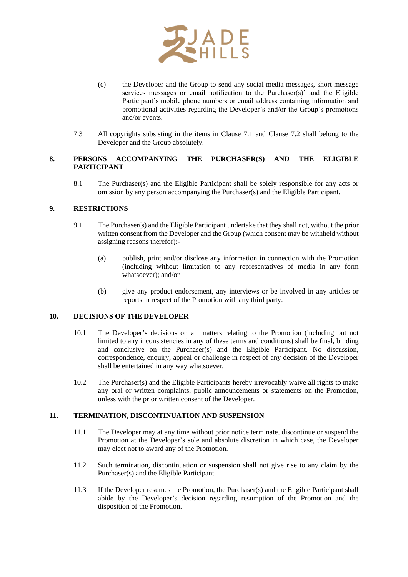

- (c) the Developer and the Group to send any social media messages, short message services messages or email notification to the Purchaser(s)' and the Eligible Participant's mobile phone numbers or email address containing information and promotional activities regarding the Developer's and/or the Group's promotions and/or events.
- 7.3 All copyrights subsisting in the items in Clause 7.1 and Clause 7.2 shall belong to the Developer and the Group absolutely.

# **8. PERSONS ACCOMPANYING THE PURCHASER(S) AND THE ELIGIBLE PARTICIPANT**

8.1 The Purchaser(s) and the Eligible Participant shall be solely responsible for any acts or omission by any person accompanying the Purchaser(s) and the Eligible Participant.

# **9. RESTRICTIONS**

- 9.1 The Purchaser(s) and the Eligible Participant undertake that they shall not, without the prior written consent from the Developer and the Group (which consent may be withheld without assigning reasons therefor):-
	- (a) publish, print and/or disclose any information in connection with the Promotion (including without limitation to any representatives of media in any form whatsoever); and/or
	- (b) give any product endorsement, any interviews or be involved in any articles or reports in respect of the Promotion with any third party.

## **10. DECISIONS OF THE DEVELOPER**

- 10.1 The Developer's decisions on all matters relating to the Promotion (including but not limited to any inconsistencies in any of these terms and conditions) shall be final, binding and conclusive on the Purchaser(s) and the Eligible Participant. No discussion, correspondence, enquiry, appeal or challenge in respect of any decision of the Developer shall be entertained in any way whatsoever.
- 10.2 The Purchaser(s) and the Eligible Participants hereby irrevocably waive all rights to make any oral or written complaints, public announcements or statements on the Promotion, unless with the prior written consent of the Developer.

#### **11. TERMINATION, DISCONTINUATION AND SUSPENSION**

- 11.1 The Developer may at any time without prior notice terminate, discontinue or suspend the Promotion at the Developer's sole and absolute discretion in which case, the Developer may elect not to award any of the Promotion.
- 11.2 Such termination, discontinuation or suspension shall not give rise to any claim by the Purchaser(s) and the Eligible Participant.
- 11.3 If the Developer resumes the Promotion, the Purchaser(s) and the Eligible Participant shall abide by the Developer's decision regarding resumption of the Promotion and the disposition of the Promotion.